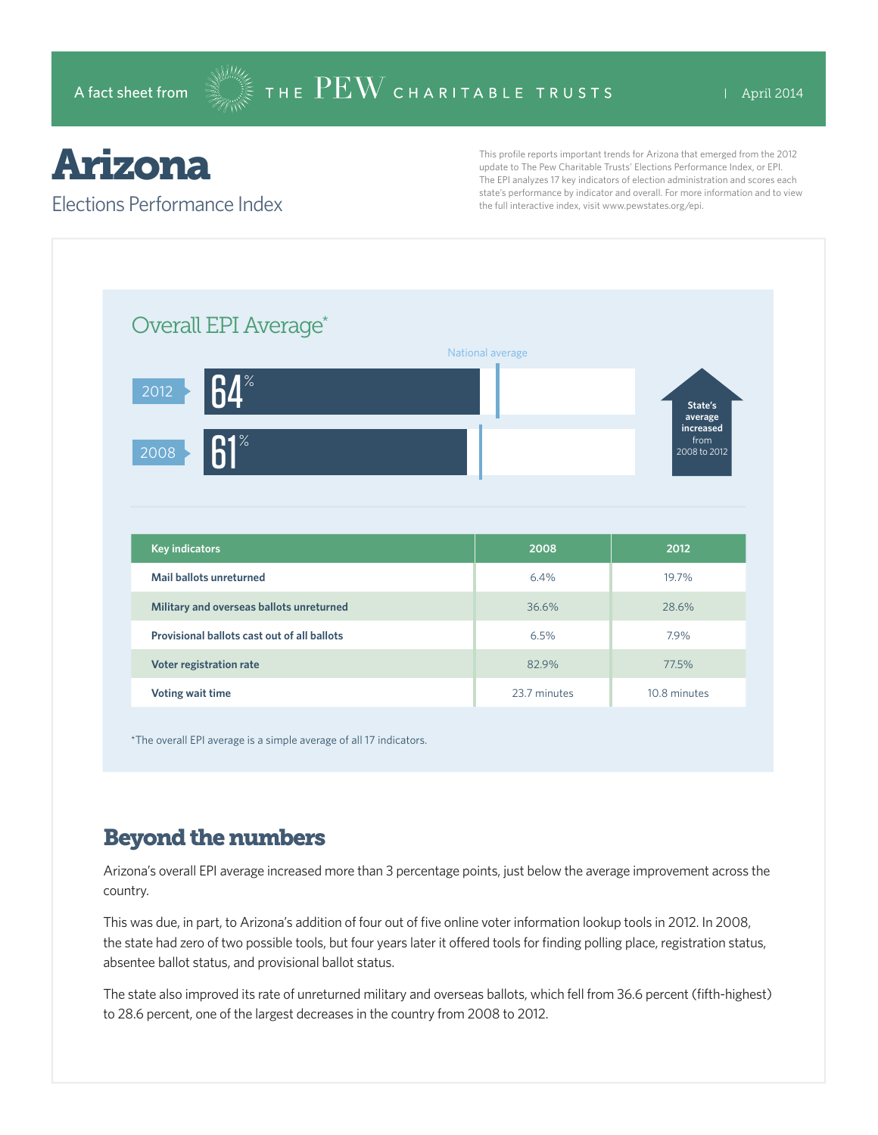# Arizona

#### Elections Performance Index

This profile reports important trends for Arizona that emerged from the 2012 update to The Pew Charitable Trusts' Elections Performance Index, or EPI. The EPI analyzes 17 key indicators of election administration and scores each state's performance by indicator and overall. For more information and to view the full interactive index, visit www.pewstates.org/epi.

| Overall EPI Average*                        |                  |                                   |
|---------------------------------------------|------------------|-----------------------------------|
|                                             | National average |                                   |
| ${\sf R} {\bm \varLambda}^*$<br>2012        |                  | State's<br>average                |
| $61^\circ$<br>2008                          |                  | increased<br>from<br>2008 to 2012 |
|                                             |                  |                                   |
|                                             |                  |                                   |
| <b>Key indicators</b>                       | 2008             | 2012                              |
| Mail ballots unreturned                     | 6.4%             | 19.7%                             |
| Military and overseas ballots unreturned    | 36.6%            | 28.6%                             |
| Provisional ballots cast out of all ballots | 6.5%             | 7.9%                              |
| Voter registration rate                     | 82.9%            | 77.5%                             |

\*The overall EPI average is a simple average of all 17 indicators.

### Beyond the numbers

Arizona's overall EPI average increased more than 3 percentage points, just below the average improvement across the country.

This was due, in part, to Arizona's addition of four out of five online voter information lookup tools in 2012. In 2008, the state had zero of two possible tools, but four years later it offered tools for finding polling place, registration status, absentee ballot status, and provisional ballot status.

The state also improved its rate of unreturned military and overseas ballots, which fell from 36.6 percent (fifth-highest) to 28.6 percent, one of the largest decreases in the country from 2008 to 2012.